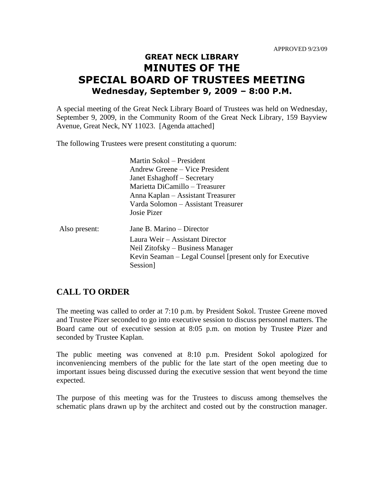## **GREAT NECK LIBRARY MINUTES OF THE SPECIAL BOARD OF TRUSTEES MEETING Wednesday, September 9, 2009 – 8:00 P.M.**

A special meeting of the Great Neck Library Board of Trustees was held on Wednesday, September 9, 2009, in the Community Room of the Great Neck Library, 159 Bayview Avenue, Great Neck, NY 11023. [Agenda attached]

The following Trustees were present constituting a quorum:

Martin Sokol – President Andrew Greene – Vice President Janet Eshaghoff – Secretary Marietta DiCamillo – Treasurer Anna Kaplan – Assistant Treasurer Varda Solomon – Assistant Treasurer Josie Pizer

Also present: Jane B. Marino – Director Laura Weir – Assistant Director Neil Zitofsky – Business Manager Kevin Seaman – Legal Counsel [present only for Executive Session]

## **CALL TO ORDER**

The meeting was called to order at 7:10 p.m. by President Sokol. Trustee Greene moved and Trustee Pizer seconded to go into executive session to discuss personnel matters. The Board came out of executive session at 8:05 p.m. on motion by Trustee Pizer and seconded by Trustee Kaplan.

The public meeting was convened at 8:10 p.m. President Sokol apologized for inconveniencing members of the public for the late start of the open meeting due to important issues being discussed during the executive session that went beyond the time expected.

The purpose of this meeting was for the Trustees to discuss among themselves the schematic plans drawn up by the architect and costed out by the construction manager.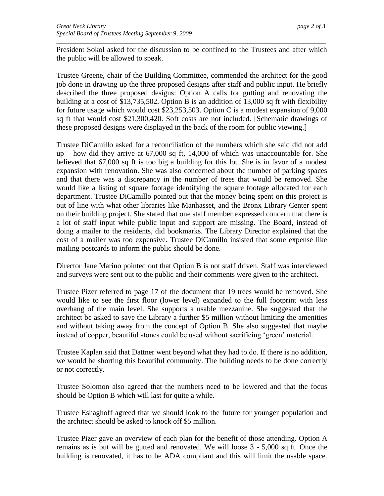President Sokol asked for the discussion to be confined to the Trustees and after which the public will be allowed to speak.

*\_\_\_\_\_\_\_\_\_\_\_\_\_\_\_\_\_\_\_\_\_\_\_\_\_\_\_\_\_\_\_\_\_\_\_\_\_\_\_\_\_\_\_\_\_\_\_\_\_\_\_\_\_\_\_\_\_\_\_\_\_\_\_\_\_\_\_\_\_\_\_\_\_\_\_\_\_\_\_\_\_\_\_\_\_\_*

Trustee Greene, chair of the Building Committee, commended the architect for the good job done in drawing up the three proposed designs after staff and public input. He briefly described the three proposed designs: Option A calls for gutting and renovating the building at a cost of \$13,735,502. Option B is an addition of 13,000 sq ft with flexibility for future usage which would cost \$23,253,503. Option C is a modest expansion of 9,000 sq ft that would cost \$21,300,420. Soft costs are not included. [Schematic drawings of these proposed designs were displayed in the back of the room for public viewing.]

Trustee DiCamillo asked for a reconciliation of the numbers which she said did not add up – how did they arrive at 67,000 sq ft, 14,000 of which was unaccountable for. She believed that 67,000 sq ft is too big a building for this lot. She is in favor of a modest expansion with renovation. She was also concerned about the number of parking spaces and that there was a discrepancy in the number of trees that would be removed. She would like a listing of square footage identifying the square footage allocated for each department. Trustee DiCamillo pointed out that the money being spent on this project is out of line with what other libraries like Manhasset, and the Bronx Library Center spent on their building project. She stated that one staff member expressed concern that there is a lot of staff input while public input and support are missing. The Board, instead of doing a mailer to the residents, did bookmarks. The Library Director explained that the cost of a mailer was too expensive. Trustee DiCamillo insisted that some expense like mailing postcards to inform the public should be done.

Director Jane Marino pointed out that Option B is not staff driven. Staff was interviewed and surveys were sent out to the public and their comments were given to the architect.

Trustee Pizer referred to page 17 of the document that 19 trees would be removed. She would like to see the first floor (lower level) expanded to the full footprint with less overhang of the main level. She supports a usable mezzanine. She suggested that the architect be asked to save the Library a further \$5 million without limiting the amenities and without taking away from the concept of Option B. She also suggested that maybe instead of copper, beautiful stones could be used without sacrificing 'green' material.

Trustee Kaplan said that Dattner went beyond what they had to do. If there is no addition, we would be shorting this beautiful community. The building needs to be done correctly or not correctly.

Trustee Solomon also agreed that the numbers need to be lowered and that the focus should be Option B which will last for quite a while.

Trustee Eshaghoff agreed that we should look to the future for younger population and the architect should be asked to knock off \$5 million.

Trustee Pizer gave an overview of each plan for the benefit of those attending. Option A remains as is but will be gutted and renovated. We will loose 3 - 5,000 sq ft. Once the building is renovated, it has to be ADA compliant and this will limit the usable space.